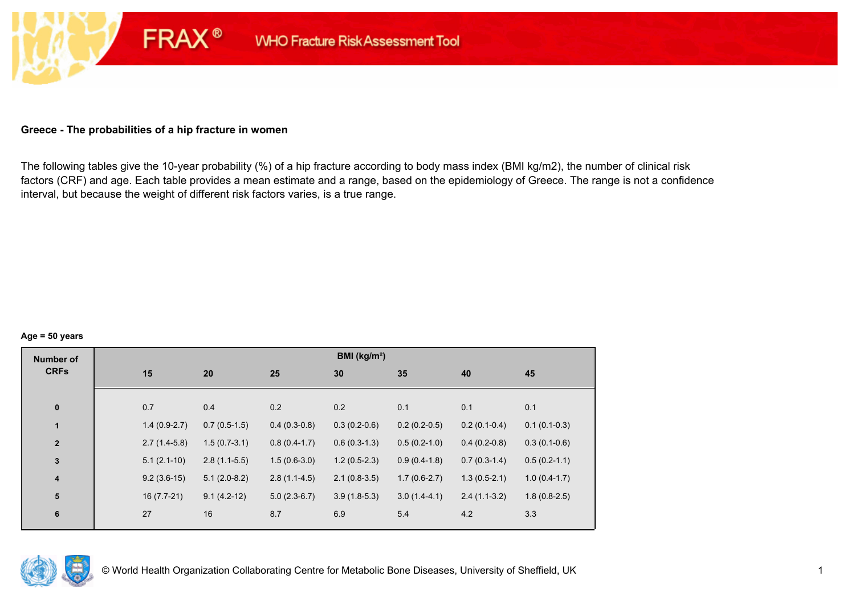### **Greece - The probabilities of a hip fracture in women**

**FRAX®** 

The following tables give the 10-year probability (%) of a hip fracture according to body mass index (BMI kg/m2), the number of clinical risk factors (CRF) and age. Each table provides a mean estimate and a range, based on the epidemiology of Greece. The range is not a confidence interval, but because the weight of different risk factors varies, is a true range.

#### **Age = 50 years**

| <b>Number of</b> |     |                |                |                | BMI (kg/m <sup>2</sup> ) |                |                |                |
|------------------|-----|----------------|----------------|----------------|--------------------------|----------------|----------------|----------------|
| <b>CRFs</b>      | 15  |                | 20             | 25             | 30                       | 35             | 40             | 45             |
|                  |     |                |                |                |                          |                |                |                |
| $\pmb{0}$        | 0.7 |                | 0.4            | 0.2            | 0.2                      | 0.1            | 0.1            | 0.1            |
| $\blacksquare$   |     | $1.4(0.9-2.7)$ | $0.7(0.5-1.5)$ | $0.4(0.3-0.8)$ | $0.3(0.2-0.6)$           | $0.2(0.2-0.5)$ | $0.2(0.1-0.4)$ | $0.1(0.1-0.3)$ |
| $\mathbf{2}$     |     | $2.7(1.4-5.8)$ | $1.5(0.7-3.1)$ | $0.8(0.4-1.7)$ | $0.6(0.3-1.3)$           | $0.5(0.2-1.0)$ | $0.4(0.2-0.8)$ | $0.3(0.1-0.6)$ |
| $\mathbf{3}$     |     | $5.1(2.1-10)$  | $2.8(1.1-5.5)$ | $1.5(0.6-3.0)$ | $1.2(0.5-2.3)$           | $0.9(0.4-1.8)$ | $0.7(0.3-1.4)$ | $0.5(0.2-1.1)$ |
| 4                |     | $9.2(3.6-15)$  | $5.1(2.0-8.2)$ | $2.8(1.1-4.5)$ | $2.1(0.8-3.5)$           | $1.7(0.6-2.7)$ | $1.3(0.5-2.1)$ | $1.0(0.4-1.7)$ |
| ${\bf 5}$        |     | $16(7.7-21)$   | $9.1(4.2-12)$  | $5.0(2.3-6.7)$ | $3.9(1.8-5.3)$           | $3.0(1.4-4.1)$ | $2.4(1.1-3.2)$ | $1.8(0.8-2.5)$ |
| $\bf 6$          | 27  |                | 16             | 8.7            | 6.9                      | 5.4            | 4.2            | 3.3            |
|                  |     |                |                |                |                          |                |                |                |

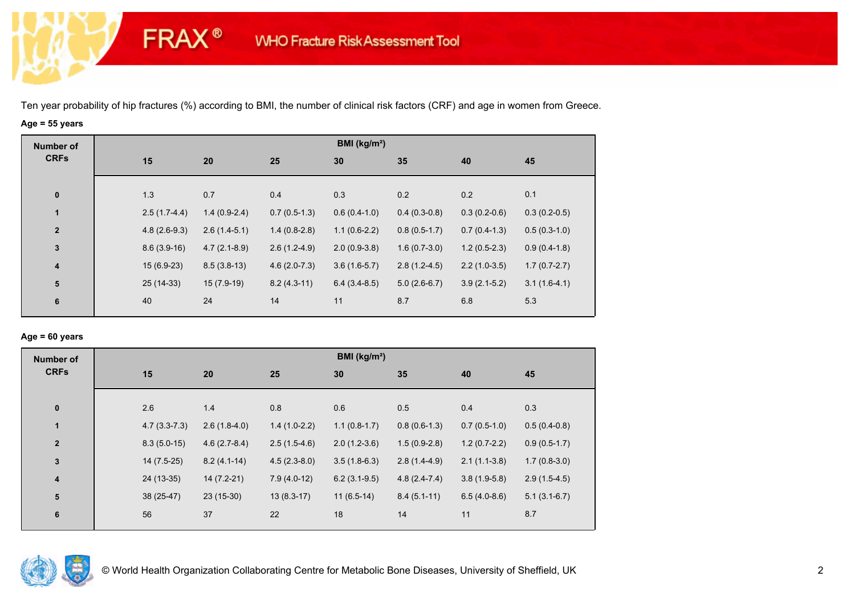**FRAX®** 

# **Age = 55 years**

| <b>Number of</b><br><b>CRFs</b> |                |                |                | BMI ( $kg/m2$ ) |                |                |                |
|---------------------------------|----------------|----------------|----------------|-----------------|----------------|----------------|----------------|
|                                 | 15             | 20             | 25             | 30              | 35             | 40             | 45             |
|                                 |                |                |                |                 |                |                |                |
| $\bf{0}$                        | 1.3            | 0.7            | 0.4            | 0.3             | 0.2            | 0.2            | 0.1            |
| $\mathbf{1}$                    | $2.5(1.7-4.4)$ | $1.4(0.9-2.4)$ | $0.7(0.5-1.3)$ | $0.6(0.4-1.0)$  | $0.4(0.3-0.8)$ | $0.3(0.2-0.6)$ | $0.3(0.2-0.5)$ |
| $\overline{2}$                  | $4.8(2.6-9.3)$ | $2.6(1.4-5.1)$ | $1.4(0.8-2.8)$ | $1.1(0.6-2.2)$  | $0.8(0.5-1.7)$ | $0.7(0.4-1.3)$ | $0.5(0.3-1.0)$ |
| $\mathbf 3$                     | $8.6(3.9-16)$  | $4.7(2.1-8.9)$ | $2.6(1.2-4.9)$ | $2.0(0.9-3.8)$  | $1.6(0.7-3.0)$ | $1.2(0.5-2.3)$ | $0.9(0.4-1.8)$ |
| $\boldsymbol{4}$                | $15(6.9-23)$   | $8.5(3.8-13)$  | $4.6(2.0-7.3)$ | $3.6(1.6-5.7)$  | $2.8(1.2-4.5)$ | $2.2(1.0-3.5)$ | $1.7(0.7-2.7)$ |
| ${\bf 5}$                       | 25 (14-33)     | $15(7.9-19)$   | $8.2(4.3-11)$  | $6.4(3.4-8.5)$  | $5.0(2.6-6.7)$ | $3.9(2.1-5.2)$ | $3.1(1.6-4.1)$ |
| 6                               | 40             | 24             | 14             | 11              | 8.7            | 6.8            | 5.3            |

#### **Age = 60 years**

| <b>Number of</b>        |                |                |                | BMI ( $kg/m2$ ) |                |                |                |
|-------------------------|----------------|----------------|----------------|-----------------|----------------|----------------|----------------|
| <b>CRFs</b>             | 15             | 20             | 25             | 30              | 35             | 40             | 45             |
| $\pmb{0}$               | 2.6            | 1.4            | 0.8            | 0.6             | 0.5            | 0.4            | 0.3            |
| $\mathbf{1}$            | $4.7(3.3-7.3)$ | $2.6(1.8-4.0)$ | $1.4(1.0-2.2)$ | $1.1(0.8-1.7)$  | $0.8(0.6-1.3)$ | $0.7(0.5-1.0)$ | $0.5(0.4-0.8)$ |
| $\overline{2}$          | $8.3(5.0-15)$  | $4.6(2.7-8.4)$ | $2.5(1.5-4.6)$ | $2.0(1.2-3.6)$  | $1.5(0.9-2.8)$ | $1.2(0.7-2.2)$ | $0.9(0.5-1.7)$ |
| 3                       | $14(7.5-25)$   | $8.2(4.1-14)$  | $4.5(2.3-8.0)$ | $3.5(1.8-6.3)$  | $2.8(1.4-4.9)$ | $2.1(1.1-3.8)$ | $1.7(0.8-3.0)$ |
| $\overline{\mathbf{4}}$ | 24 (13-35)     | $14(7.2-21)$   | $7.9(4.0-12)$  | $6.2(3.1-9.5)$  | $4.8(2.4-7.4)$ | $3.8(1.9-5.8)$ | $2.9(1.5-4.5)$ |
| ${\bf 5}$               | 38 (25-47)     | $23(15-30)$    | $13(8.3-17)$   | $11(6.5-14)$    | $8.4(5.1-11)$  | $6.5(4.0-8.6)$ | $5.1(3.1-6.7)$ |
| 6                       | 56             | 37             | 22             | 18              | 14             | 11             | 8.7            |

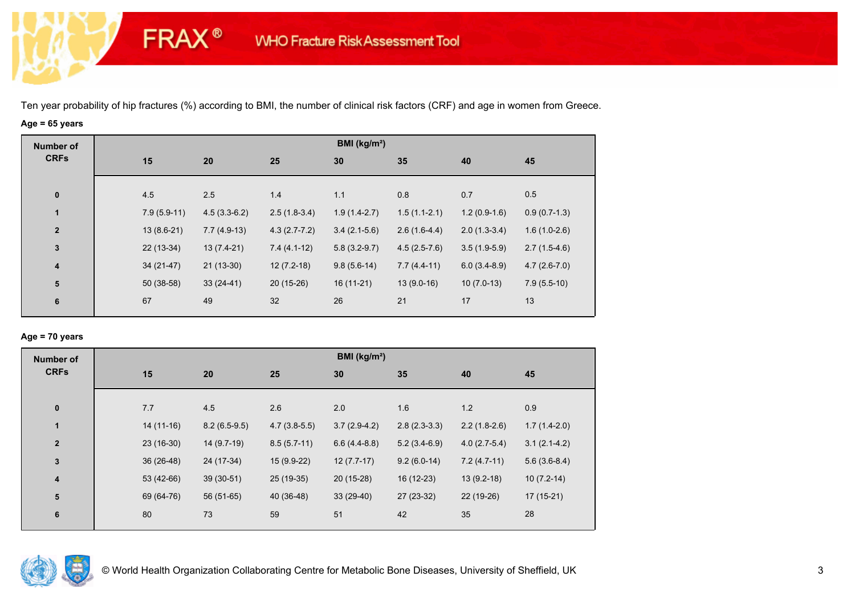**FRAX®** 

# **Age = 65 years**

| <b>Number of</b> |               |                |                | BMI ( $kg/m2$ ) |                |                |                |
|------------------|---------------|----------------|----------------|-----------------|----------------|----------------|----------------|
| <b>CRFs</b>      | 15            | 20             | 25             | 30              | 35             | 40             | 45             |
|                  |               |                |                |                 |                |                |                |
| $\bf{0}$         | 4.5           | 2.5            | 1.4            | 1.1             | 0.8            | 0.7            | 0.5            |
| $\mathbf{1}$     | $7.9(5.9-11)$ | $4.5(3.3-6.2)$ | $2.5(1.8-3.4)$ | $1.9(1.4-2.7)$  | $1.5(1.1-2.1)$ | $1.2(0.9-1.6)$ | $0.9(0.7-1.3)$ |
| $\overline{2}$   | $13(8.6-21)$  | $7.7(4.9-13)$  | $4.3(2.7-7.2)$ | $3.4(2.1-5.6)$  | $2.6(1.6-4.4)$ | $2.0(1.3-3.4)$ | $1.6(1.0-2.6)$ |
| $\mathbf 3$      | $22(13-34)$   | $13(7.4-21)$   | $7.4(4.1-12)$  | $5.8(3.2-9.7)$  | $4.5(2.5-7.6)$ | $3.5(1.9-5.9)$ | $2.7(1.5-4.6)$ |
| $\boldsymbol{4}$ | $34(21-47)$   | $21(13-30)$    | $12(7.2-18)$   | $9.8(5.6-14)$   | $7.7(4.4-11)$  | $6.0(3.4-8.9)$ | $4.7(2.6-7.0)$ |
| ${\bf 5}$        | $50(38-58)$   | $33(24-41)$    | $20(15-26)$    | $16(11-21)$     | $13(9.0-16)$   | $10(7.0-13)$   | $7.9(5.5-10)$  |
| 6                | 67            | 49             | 32             | 26              | 21             | 17             | 13             |
|                  |               |                |                |                 |                |                |                |

### **Age = 70 years**

| <b>Number of</b>        |             |                |                | BMI (kg/m <sup>2</sup> ) |                |                |                |
|-------------------------|-------------|----------------|----------------|--------------------------|----------------|----------------|----------------|
| <b>CRFs</b>             | 15          | 20             | 25             | 30                       | 35             | 40             | 45             |
|                         |             |                |                |                          |                |                |                |
| $\pmb{0}$               | 7.7         | 4.5            | 2.6            | 2.0                      | 1.6            | 1.2            | 0.9            |
| 1                       | $14(11-16)$ | $8.2(6.5-9.5)$ | $4.7(3.8-5.5)$ | $3.7(2.9-4.2)$           | $2.8(2.3-3.3)$ | $2.2(1.8-2.6)$ | $1.7(1.4-2.0)$ |
| $\overline{2}$          | $23(16-30)$ | 14 (9.7-19)    | $8.5(5.7-11)$  | $6.6(4.4-8.8)$           | $5.2(3.4-6.9)$ | $4.0(2.7-5.4)$ | $3.1(2.1-4.2)$ |
| $\mathbf 3$             | $36(26-48)$ | 24 (17-34)     | $15(9.9-22)$   | $12(7.7-17)$             | $9.2(6.0-14)$  | $7.2(4.7-11)$  | $5.6(3.6-8.4)$ |
| $\overline{\mathbf{4}}$ | 53 (42-66)  | $39(30-51)$    | 25 (19-35)     | $20(15-28)$              | 16 (12-23)     | $13(9.2-18)$   | $10(7.2-14)$   |
| 5                       | 69 (64-76)  | 56 (51-65)     | 40 (36-48)     | $33(29-40)$              | 27 (23-32)     | 22 (19-26)     | $17(15-21)$    |
| 6                       | 80          | 73             | 59             | 51                       | 42             | 35             | 28             |
|                         |             |                |                |                          |                |                |                |

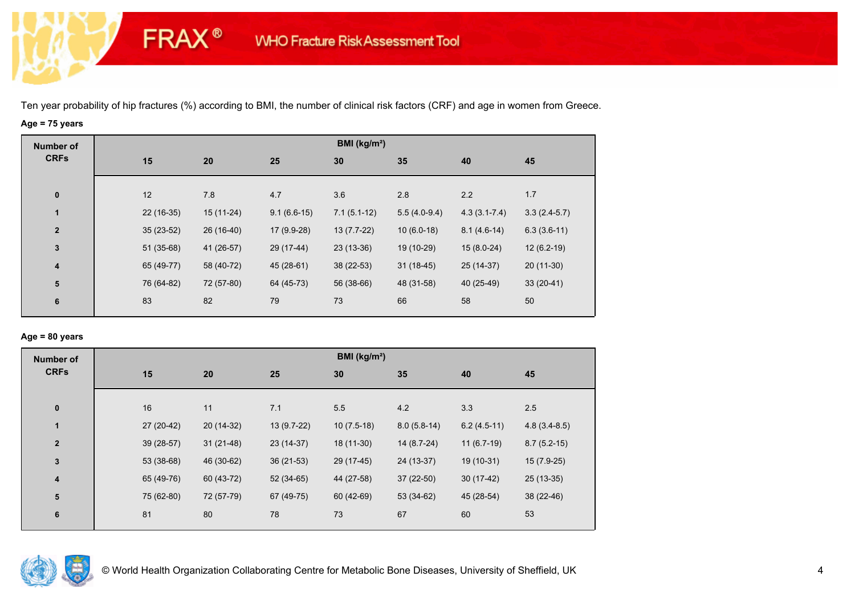**FRAX®** 

## **Age = 75 years**

| <b>Number of</b> |             |            |               | BMI (kg/m <sup>2</sup> ) |                |                  |                |
|------------------|-------------|------------|---------------|--------------------------|----------------|------------------|----------------|
| <b>CRFs</b>      | 15          | 20         | 25            | 30                       | 35             | 40               | 45             |
|                  |             |            |               |                          |                |                  |                |
| $\pmb{0}$        | 12          | 7.8        | 4.7           | 3.6                      | 2.8            | 2.2              | 1.7            |
| $\mathbf{1}$     | 22 (16-35)  | 15 (11-24) | $9.1(6.6-15)$ | $7.1(5.1-12)$            | $5.5(4.0-9.4)$ | $4.3(3.1 - 7.4)$ | $3.3(2.4-5.7)$ |
| $\overline{2}$   | $35(23-52)$ | 26 (16-40) | 17 (9.9-28)   | $13(7.7-22)$             | $10(6.0-18)$   | $8.1(4.6-14)$    | $6.3(3.6-11)$  |
| $\mathbf{3}$     | $51(35-68)$ | 41 (26-57) | 29 (17-44)    | 23 (13-36)               | 19 (10-29)     | $15(8.0-24)$     | $12(6.2-19)$   |
| 4                | 65 (49-77)  | 58 (40-72) | 45 (28-61)    | 38 (22-53)               | $31(18-45)$    | 25 (14-37)       | $20(11-30)$    |
| 5                | 76 (64-82)  | 72 (57-80) | 64 (45-73)    | 56 (38-66)               | 48 (31-58)     | 40 (25-49)       | $33(20-41)$    |
| 6                | 83          | 82         | 79            | 73                       | 66             | 58               | 50             |
|                  |             |            |               |                          |                |                  |                |

### **Age = 80 years**

| <b>Number of</b> |            |             |             | BMI ( $kg/m2$ ) |               |               |                |
|------------------|------------|-------------|-------------|-----------------|---------------|---------------|----------------|
| <b>CRFs</b>      | 15         | 20          | 25          | 30              | 35            | 40            | 45             |
| $\pmb{0}$        | 16         | 11          | 7.1         | 5.5             | 4.2           | 3.3           | 2.5            |
| $\mathbf{1}$     | 27 (20-42) | 20 (14-32)  | 13 (9.7-22) | $10(7.5-18)$    | $8.0(5.8-14)$ | $6.2(4.5-11)$ | $4.8(3.4-8.5)$ |
| $\mathbf{2}$     | 39 (28-57) | $31(21-48)$ | 23 (14-37)  | 18 (11-30)      | 14 (8.7-24)   | $11(6.7-19)$  | $8.7(5.2-15)$  |
| 3                | 53 (38-68) | 46 (30-62)  | $36(21-53)$ | 29 (17-45)      | 24 (13-37)    | 19 (10-31)    | $15(7.9-25)$   |
| 4                | 65 (49-76) | 60 (43-72)  | $52(34-65)$ | 44 (27-58)      | $37(22-50)$   | $30(17-42)$   | $25(13-35)$    |
| ${\bf 5}$        | 75 (62-80) | 72 (57-79)  | 67 (49-75)  | 60 (42-69)      | 53 (34-62)    | 45 (28-54)    | 38 (22-46)     |
| 6                | 81         | 80          | 78          | 73              | 67            | 60            | 53             |